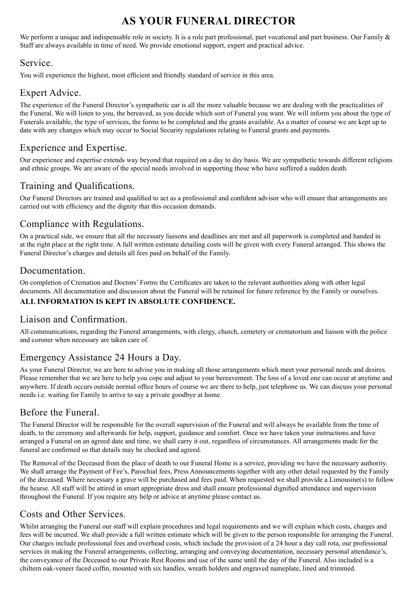# **AS YOUR FUNERAL DIRECTOR**

We perform a unique and indispensable role in society. It is a role part professional, part vocational and part business. Our Family & Staff are always available in time of need. We provide emotional support, expert and practical advice.

### Service.

You will experience the highest, most efficient and friendly standard of service in this area.

## Expert Advice.

The experience of the Funeral Director's sympathetic ear is all the more valuable because we are dealing with the practicalities of the Funeral. We will listen to you, the bereaved, as you decide which sort of Funeral you want. We will inform you about the type of Funerals available, the type of services, the forms to be completed and the grants available. As a matter of course we are kept up to date with any changes which may occur to Social Security regulations relating to Funeral grants and payments.

## Experience and Expertise.

Our experience and expertise extends way beyond that required on a day to day basis. We are sympathetic towards different religions and ethnic groups. We are aware of the special needs involved in supporting those who have suffered a sudden death.

## Training and Qualifications.

Our Funeral Directors are trained and qualified to act as a professional and confident advisor who will ensure that arrangements are carried out with efficiency and the dignity that this occasion demands.

## Compliance with Regulations.

On a practical side, we ensure that all the necessary liaisons and deadlines are met and all paperwork is completed and handed in at the right place at the right time. A full written estimate detailing costs will be given with every Funeral arranged. This shows the Funeral Director's charges and details all fees paid on behalf of the Family.

## Documentation.

On completion of Cremation and Doctors' Forms the Certificates are taken to the relevant authorities along with other legal documents. All documentation and discussion about the Funeral will be retained for future reference by the Family or ourselves. **ALL INFORMATION IS KEPT IN ABSOLUTE CONFIDENCE.**

## Liaison and Confirmation.

All communications, regarding the Funeral arrangements, with clergy, church, cemetery or crematorium and liaison with the police and coroner when necessary are taken care of.

## Emergency Assistance 24 Hours a Day.

As your Funeral Director, we are here to advise you in making all those arrangements which meet your personal needs and desires. Please remember that we are here to help you cope and adjust to your bereavement. The loss of a loved one can occur at anytime and anywhere. If death occurs outside normal office hours of course we are there to help, just telephone us. We can discuss your personal needs i.e. waiting for Family to arrive to say a private goodbye at home.

## Before the Funeral.

The Funeral Director will be responsible for the overall supervision of the Funeral and will always be available from the time of death, to the ceremony and afterwards for help, support, guidance and comfort. Once we have taken your instructions and have arranged a Funeral on an agreed date and time, we shall carry it out, regardless of circumstances. All arrangements made for the funeral are confirmed so that details may be checked and agreed.

The Removal of the Deceased from the place of death to our Funeral Home is a service, providing we have the necessary authority. We shall arrange the Payment of Fee's, Parochial fees, Press Announcements together with any other detail requested by the Family of the deceased. Where necessary a grave will be purchased and fees paid. When requested we shall provide a Limousine(s) to follow the hearse. All staff will be attired in smart appropriate dress and shall ensure professional dignified attendance and supervision throughout the Funeral. If you require any help or advice at anytime please contact us.

## Costs and Other Services.

Whilst arranging the Funeral our staff will explain procedures and legal requirements and we will explain which costs, charges and fees will be incurred. We shall provide a full written estimate which will be given to the person responsible for arranging the Funeral. Our charges include professional fees and overhead costs, which include the provision of a 24 hour a day call rota, our professional services in making the Funeral arrangements, collecting, arranging and conveying documentation, necessary personal attendance's, the conveyance of the Deceased to our Private Rest Rooms and use of the same until the day of the Funeral. Also included is a chiltern oak-veneer faced coffin, mounted with six handles, wreath holders and engraved nameplate, lined and trimmed.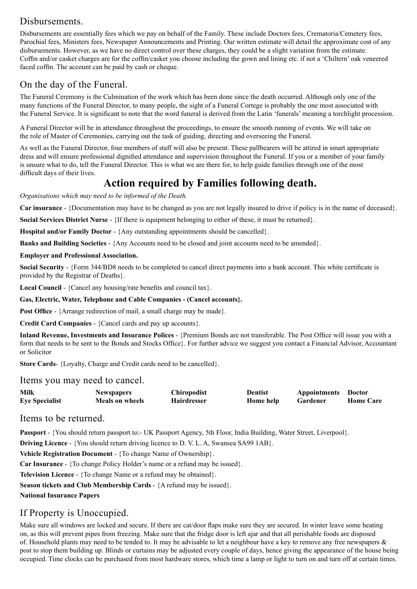## Disbursements.

Disbursements are essentially fees which we pay on behalf of the Family. These include Doctors fees, Crematoria/Cemetery fees, Parochial fees, Ministers fees, Newspaper Announcements and Printing. Our written estimate will detail the approximate cost of any disbursements. However, as we have no direct control over these charges, they could be a slight variation from the estimate. Coffin and/or casket charges are for the coffin/casket you choose including the gown and lining etc. if not a 'Chiltern' oak veneered faced coffin. The account can be paid by cash or cheque.

## On the day of the Funeral.

The Funeral Ceremony is the Culmination of the work which has been done since the death occurred. Although only one of the many functions of the Funeral Director, to many people, the sight of a Funeral Cortege is probably the one most associated with the Funeral Service. It is significant to note that the word funeral is derived from the Latin 'funerals' meaning a torchlight procession.

A Funeral Director will be in attendance throughout the proceedings, to ensure the smooth running of events. We will take on the role of Master of Ceremonies, carrying out the task of guiding, directing and overseeing the Funeral.

As well as the Funeral Director, four members of staff will also be present. These pallbearers will be attired in smart appropriate dress and will ensure professional dignified attendance and supervision throughout the Funeral. If you or a member of your family is unsure what to do, tell the Funeral Director. This is what we are there for, to help guide families through one of the most difficult days of their lives.

# **Action required by Families following death.**

*Organisations which may need to be informed of the Death.*

**Car insurance** - {Documentation may have to be changed as you are not legally insured to drive if policy is in the name of deceased}.

**Social Services District Nurse** - {If there is equipment belonging to either of these, it must be returned}.

**Hospital and/or Family Doctor** - {Any outstanding appointments should be cancelled}.

**Banks and Building Societies** - {Any Accounts need to be closed and joint accounts need to be amended}.

### **Employer and Professional Association.**

**Social Security** - {Form 344/BD8 needs to be completed to cancel direct payments into a bank account. This white certificate is provided by the Registrar of Deaths}.

**Local Council** - {Cancel any housing/rate benefits and council tax}.

**Gas, Electric, Water, Telephone and Cable Companies - (Cancel accounts}.**

**Post Office** - {Arrange redirection of mail, a small charge may be made}.

**Credit Card Companies** - {Cancel cards and pay up accounts}.

**Inland Revenue, Investments and Insurance Polices** - {Premium Bonds are not transferable. The Post Office will issue you with a form that needs to be sent to the Bonds and Stocks Office}. For further advice we suggest you contact a Financial Advisor, Accountant or Solicitor

**Store Cards**- {Loyalty, Charge and Credit cards need to be cancelled}.

Items you may need to cancel.

| Milk                  | <b>Newspapers</b>      | Chiropodist        | <b>Dentist</b> | Appointments | <b>Doctor</b>    |
|-----------------------|------------------------|--------------------|----------------|--------------|------------------|
| <b>Eye Specialist</b> | <b>Meals on wheels</b> | <b>Hairdresser</b> | Home help      | Gardener     | <b>Home Care</b> |

Items to be returned.

**Passport** - {You should return passport to:- UK Passport Agency, 5th Floor, India Building, Water Street, Liverpool}.

**Driving Licence** - {You should return driving licence to D. V. L. A, Swansea SA99 1AB}.

**Vehicle Registration Document** - {To change Name of Ownership}.

**Car Insurance** - {To change Policy Holder's name or a refund may be issued}.

**Television Licence** - {To change Name or a refund may be obtained}.

**Season tickets and Club Membership Cards** - {A refund may be issued}.

**National Insurance Papers**

### If Property is Unoccupied.

Make sure all windows are locked and secure. If there are cat/door flaps make sure they are secured. In winter leave some heating on, as this will prevent pipes from freezing. Make sure that the fridge door is left ajar and that all perishable foods are disposed of. Household plants may need to be tended to. It may be advisable to let a neighbour have a key to remove any free newspapers  $\&$ post to stop them building up. Blinds or curtains may be adjusted every couple of days, hence giving the appearance of the house being occupied. Time clocks can be purchased from most hardware stores, which time a lamp or light to turn on and turn off at certain times.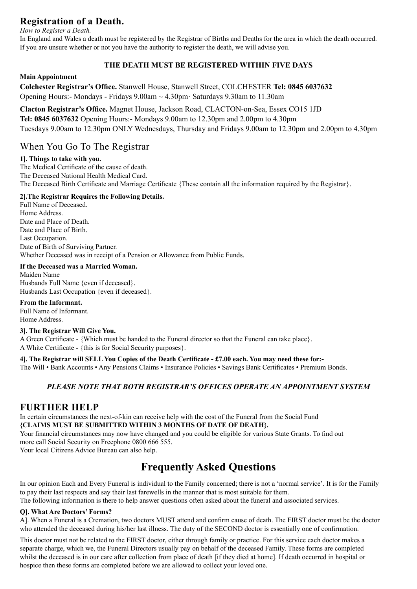## **Registration of a Death.**

*How to Register a Death.*

In England and Wales a death must be registered by the Registrar of Births and Deaths for the area in which the death occurred. If you are unsure whether or not you have the authority to register the death, we will advise you.

### **THE DEATH MUST BE REGISTERED WITHIN FIVE DAYS**

### **Main Appointment**

**Colchester Registrar's Office.** Stanwell House, Stanwell Street, COLCHESTER **Tel: 0845 6037632** Opening Hours:- Mondays - Fridays 9.00am ~ 4.30pm· Saturdays 9.30am to 11.30am

**Clacton Registrar's Office.** Magnet House, Jackson Road, CLACTON-on-Sea, Essex CO15 1JD **Tel: 0845 6037632** Opening Hours:- Mondays 9.00am to 12.30pm and 2.00pm to 4.30pm Tuesdays 9.00am to 12.30pm ONLY Wednesdays, Thursday and Fridays 9.00am to 12.30pm and 2.00pm to 4.30pm

### When You Go To The Registrar

### **1]. Things to take with you.**

The Medical Certificate of the cause of death. The Deceased National Health Medical Card. The Deceased Birth Certificate and Marriage Certificate {These contain all the information required by the Registrar}.

### **2].The Registrar Requires the Following Details.**

Full Name of Deceased. Home Address. Date and Place of Death. Date and Place of Birth. Last Occupation. Date of Birth of Surviving Partner. Whether Deceased was in receipt of a Pension or Allowance from Public Funds.

### **If the Deceased was a Married Woman.**

Maiden Name Husbands Full Name {even if deceased}. Husbands Last Occupation {even if deceased}.

**From the Informant.** Full Name of Informant.

Home Address.

### **3]. The Registrar Will Give You.**

A Green Certificate - {Which must be handed to the Funeral director so that the Funeral can take place}. A White Certificate - {this is for Social Security purposes}.

**4]. The Registrar will SELL You Copies of the Death Certificate - £7.00 each. You may need these for:-**

The Will • Bank Accounts • Any Pensions Claims • Insurance Policies • Savings Bank Certificates • Premium Bonds.

### *PLEASE NOTE THAT BOTH REGISTRAR'S OFFICES OPERATE AN APPOINTMENT SYSTEM*

### **FURTHER HELP**

In certain circumstances the next-of-kin can receive help with the cost of the Funeral from the Social Fund **{CLAIMS MUST BE SUBMITTED WITHIN 3 MONTHS OF DATE OF DEATH}.**

Your financial circumstances may now have changed and you could be eligible for various State Grants. To find out more call Social Security on Freephone 0800 666 555.

Your local Citizens Advice Bureau can also help.

# **Frequently Asked Questions**

In our opinion Each and Every Funeral is individual to the Family concerned; there is not a 'normal service'. It is for the Family to pay their last respects and say their last farewells in the manner that is most suitable for them.

### The following information is there to help answer questions often asked about the funeral and associated services.

### **Q]. What Are Doctors' Forms?**

A]. When a Funeral is a Cremation, two doctors MUST attend and confirm cause of death. The FIRST doctor must be the doctor who attended the deceased during his/her last illness. The duty of the SECOND doctor is essentially one of confirmation.

This doctor must not be related to the FIRST doctor, either through family or practice. For this service each doctor makes a separate charge, which we, the Funeral Directors usually pay on behalf of the deceased Family. These forms are completed whilst the deceased is in our care after collection from place of death [if they died at home]. If death occurred in hospital or hospice then these forms are completed before we are allowed to collect your loved one.